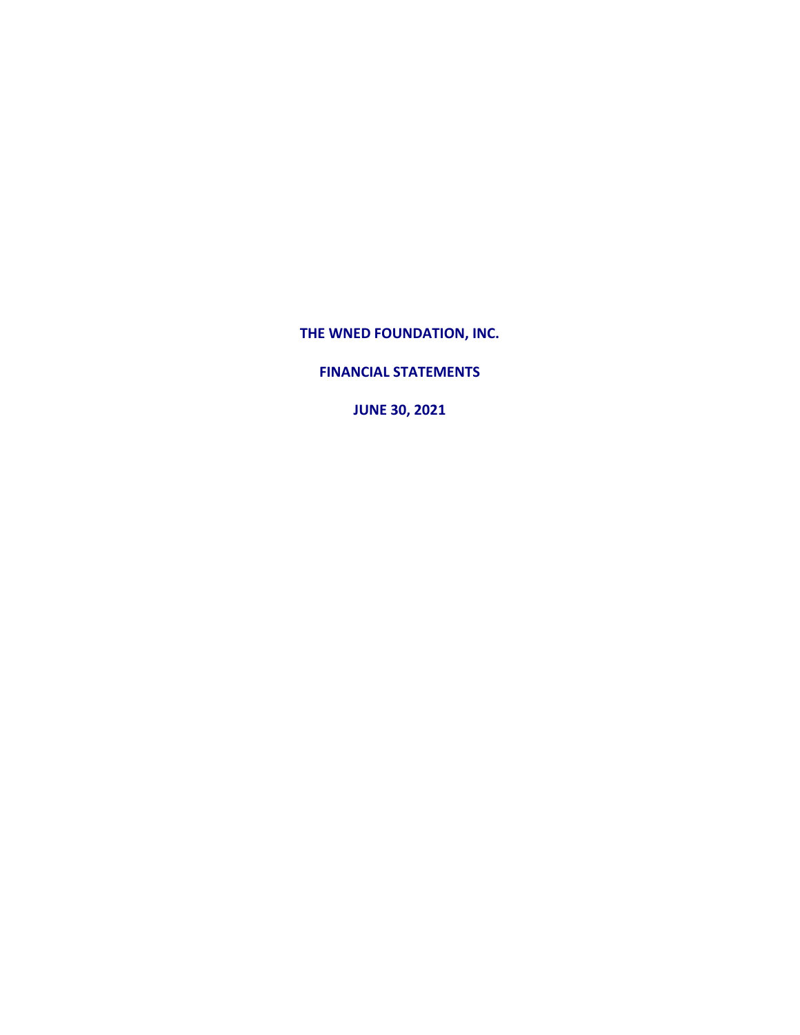**THE WNED FOUNDATION, INC.**

**FINANCIAL STATEMENTS**

**JUNE 30, 2021**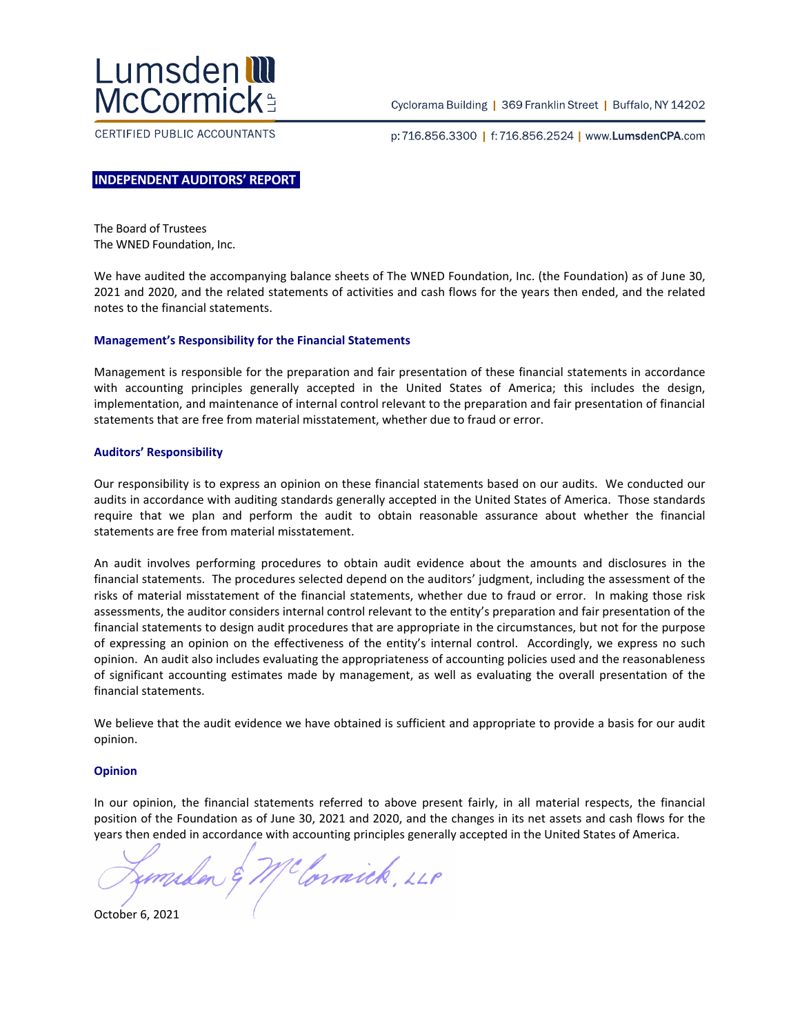

CERTIFIED PUBLIC ACCOUNTANTS

Cyclorama Building | 369 Franklin Street | Buffalo, NY 14202

p:716.856.3300 | f:716.856.2524 | www.LumsdenCPA.com

### **INDEPENDENT AUDITORS' REPORT**

The Board of Trustees The WNED Foundation, Inc.

We have audited the accompanying balance sheets of The WNED Foundation, Inc. (the Foundation) as of June 30, 2021 and 2020, and the related statements of activities and cash flows for the years then ended, and the related notes to the financial statements.

#### **Management's Responsibility for the Financial Statements**

Management is responsible for the preparation and fair presentation of these financial statements in accordance with accounting principles generally accepted in the United States of America; this includes the design, implementation, and maintenance of internal control relevant to the preparation and fair presentation of financial statements that are free from material misstatement, whether due to fraud or error.

#### **Auditors' Responsibility**

Our responsibility is to express an opinion on these financial statements based on our audits. We conducted our audits in accordance with auditing standards generally accepted in the United States of America. Those standards require that we plan and perform the audit to obtain reasonable assurance about whether the financial statements are free from material misstatement.

An audit involves performing procedures to obtain audit evidence about the amounts and disclosures in the financial statements. The procedures selected depend on the auditors' judgment, including the assessment of the risks of material misstatement of the financial statements, whether due to fraud or error. In making those risk assessments, the auditor considers internal control relevant to the entity's preparation and fair presentation of the financial statements to design audit procedures that are appropriate in the circumstances, but not for the purpose of expressing an opinion on the effectiveness of the entity's internal control. Accordingly, we express no such opinion. An audit also includes evaluating the appropriateness of accounting policies used and the reasonableness of significant accounting estimates made by management, as well as evaluating the overall presentation of the financial statements.

We believe that the audit evidence we have obtained is sufficient and appropriate to provide a basis for our audit opinion.

#### **Opinion**

In our opinion, the financial statements referred to above present fairly, in all material respects, the financial position of the Foundation as of June 30, 2021 and 2020, and the changes in its net assets and cash flows for the years then ended in accordance with accounting principles generally accepted in the United States of America.

mulen & McCornick, 228

October 6, 2021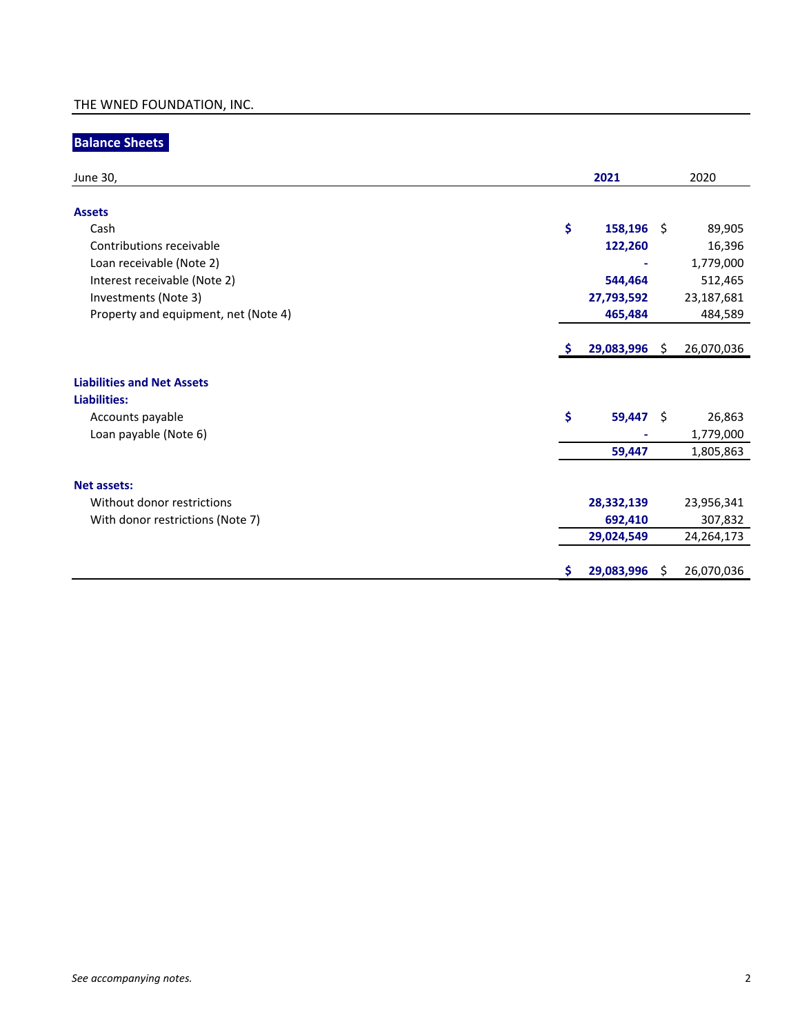# **Balance Sheets**

| June 30,                             |          | 2021         |      | 2020       |
|--------------------------------------|----------|--------------|------|------------|
|                                      |          |              |      |            |
| <b>Assets</b>                        |          |              |      |            |
| Cash                                 | \$       | $158,196$ \$ |      | 89,905     |
| Contributions receivable             |          | 122,260      |      | 16,396     |
| Loan receivable (Note 2)             |          |              |      | 1,779,000  |
| Interest receivable (Note 2)         |          | 544,464      |      | 512,465    |
| Investments (Note 3)                 |          | 27,793,592   |      | 23,187,681 |
| Property and equipment, net (Note 4) |          | 465,484      |      | 484,589    |
|                                      |          |              |      |            |
|                                      | <b>S</b> | 29,083,996   | - \$ | 26,070,036 |
|                                      |          |              |      |            |
| <b>Liabilities and Net Assets</b>    |          |              |      |            |
| Liabilities:                         |          |              |      |            |
| Accounts payable                     | \$       | $59,447$ \$  |      | 26,863     |
| Loan payable (Note 6)                |          |              |      | 1,779,000  |
|                                      |          | 59,447       |      | 1,805,863  |
|                                      |          |              |      |            |
| <b>Net assets:</b>                   |          |              |      |            |
| Without donor restrictions           |          | 28,332,139   |      | 23,956,341 |
| With donor restrictions (Note 7)     |          | 692,410      |      | 307,832    |
|                                      |          | 29,024,549   |      | 24,264,173 |
|                                      |          |              |      |            |
|                                      | \$       | 29,083,996   | - \$ | 26,070,036 |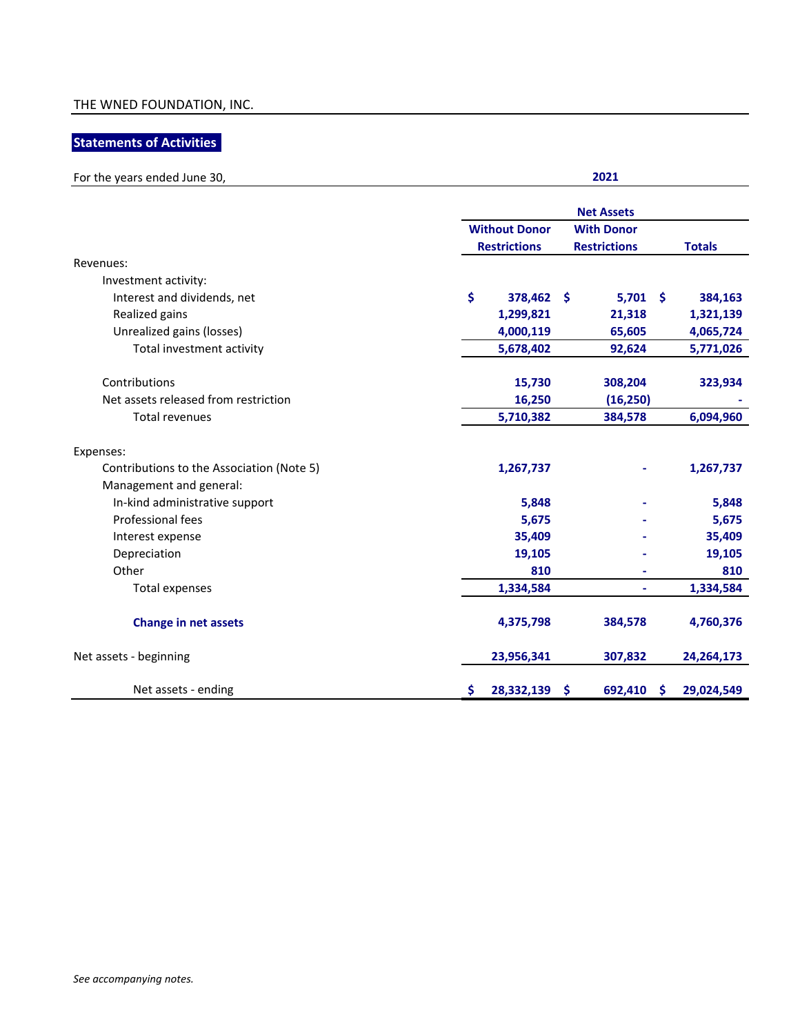## **Statements of Activities**

| For the years ended June 30,              | 2021                 |                     |                 |  |  |  |  |  |
|-------------------------------------------|----------------------|---------------------|-----------------|--|--|--|--|--|
|                                           | <b>Net Assets</b>    |                     |                 |  |  |  |  |  |
|                                           | <b>Without Donor</b> | <b>With Donor</b>   |                 |  |  |  |  |  |
|                                           | <b>Restrictions</b>  | <b>Restrictions</b> | <b>Totals</b>   |  |  |  |  |  |
| Revenues:                                 |                      |                     |                 |  |  |  |  |  |
| Investment activity:                      |                      |                     |                 |  |  |  |  |  |
| Interest and dividends, net               | \$<br>378,462 \$     | $5,701$ \$          | 384,163         |  |  |  |  |  |
| Realized gains                            | 1,299,821            | 21,318              | 1,321,139       |  |  |  |  |  |
| Unrealized gains (losses)                 | 4,000,119            | 65,605              | 4,065,724       |  |  |  |  |  |
| Total investment activity                 | 5,678,402            | 92,624              | 5,771,026       |  |  |  |  |  |
| Contributions                             | 15,730               | 308,204             | 323,934         |  |  |  |  |  |
| Net assets released from restriction      | 16,250               | (16, 250)           |                 |  |  |  |  |  |
| <b>Total revenues</b>                     | 5,710,382            | 384,578             | 6,094,960       |  |  |  |  |  |
| Expenses:                                 |                      |                     |                 |  |  |  |  |  |
| Contributions to the Association (Note 5) | 1,267,737            |                     | 1,267,737       |  |  |  |  |  |
| Management and general:                   |                      |                     |                 |  |  |  |  |  |
| In-kind administrative support            | 5,848                |                     | 5,848           |  |  |  |  |  |
| Professional fees                         | 5,675                |                     | 5,675           |  |  |  |  |  |
| Interest expense                          | 35,409               |                     | 35,409          |  |  |  |  |  |
| Depreciation                              | 19,105               |                     | 19,105          |  |  |  |  |  |
| Other                                     | 810                  |                     | 810             |  |  |  |  |  |
| Total expenses                            | 1,334,584            | ÷,                  | 1,334,584       |  |  |  |  |  |
| <b>Change in net assets</b>               | 4,375,798            | 384,578             | 4,760,376       |  |  |  |  |  |
| Net assets - beginning                    | 23,956,341           | 307,832             | 24,264,173      |  |  |  |  |  |
| Net assets - ending                       | \$<br>28,332,139     | \$<br>692,410       | Ŝ<br>29,024,549 |  |  |  |  |  |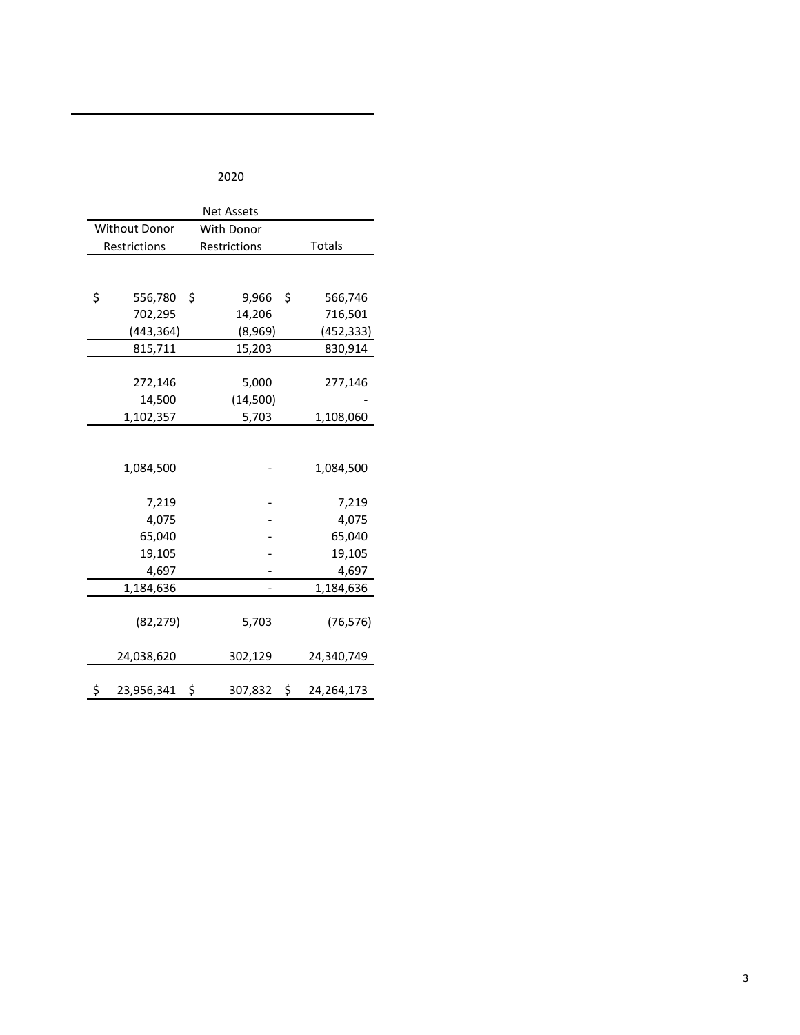| 2020              |               |    |                   |    |              |  |  |
|-------------------|---------------|----|-------------------|----|--------------|--|--|
| <b>Net Assets</b> |               |    |                   |    |              |  |  |
|                   | Without Donor |    | <b>With Donor</b> |    |              |  |  |
|                   | Restrictions  |    | Restrictions      |    | Totals       |  |  |
|                   |               |    |                   |    |              |  |  |
|                   |               |    |                   |    |              |  |  |
| \$                | 556,780       | \$ | 9,966             | \$ | 566,746      |  |  |
|                   | 702,295       |    | 14,206            |    | 716,501      |  |  |
|                   | (443, 364)    |    | (8,969)           |    | (452, 333)   |  |  |
|                   | 815,711       |    | 15,203            |    | 830,914      |  |  |
|                   |               |    |                   |    |              |  |  |
|                   | 272,146       |    | 5,000             |    | 277,146      |  |  |
|                   | 14,500        |    | (14,500)          |    |              |  |  |
|                   | 1,102,357     |    | 5,703             |    | 1,108,060    |  |  |
|                   |               |    |                   |    |              |  |  |
|                   | 1,084,500     |    |                   |    | 1,084,500    |  |  |
|                   | 7,219         |    |                   |    | 7,219        |  |  |
|                   | 4,075         |    |                   |    | 4,075        |  |  |
|                   | 65,040        |    |                   |    | 65,040       |  |  |
|                   | 19,105        |    |                   |    | 19,105       |  |  |
|                   | 4,697         |    |                   |    | 4,697        |  |  |
|                   | 1,184,636     |    |                   |    | 1,184,636    |  |  |
|                   | (82, 279)     |    | 5,703             |    | (76, 576)    |  |  |
|                   | 24,038,620    |    | 302,129           |    | 24,340,749   |  |  |
| \$                | 23,956,341 \$ |    | 307,832 \$        |    | 24, 264, 173 |  |  |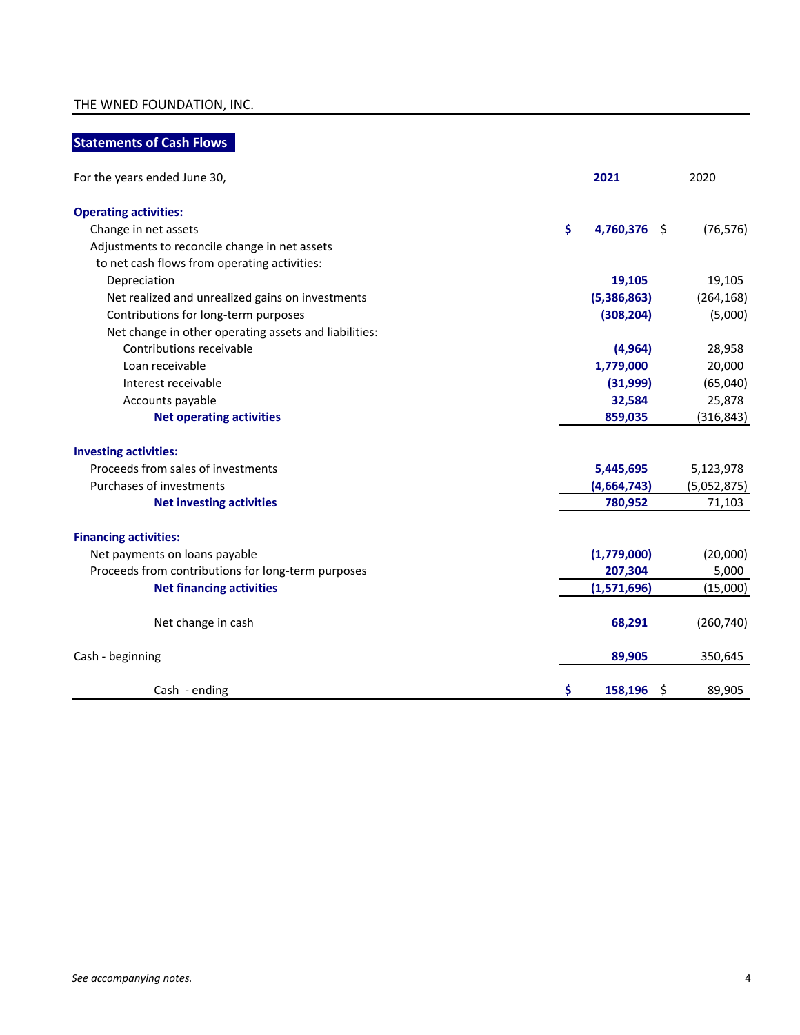### THE WNED FOUNDATION, INC.

## **Statements of Cash Flows**

| For the years ended June 30,                          | 2021               | 2020        |
|-------------------------------------------------------|--------------------|-------------|
| <b>Operating activities:</b>                          |                    |             |
| Change in net assets                                  | \$<br>4,760,376 \$ | (76, 576)   |
| Adjustments to reconcile change in net assets         |                    |             |
| to net cash flows from operating activities:          |                    |             |
| Depreciation                                          | 19,105             | 19,105      |
| Net realized and unrealized gains on investments      | (5,386,863)        | (264, 168)  |
| Contributions for long-term purposes                  | (308, 204)         | (5,000)     |
| Net change in other operating assets and liabilities: |                    |             |
| Contributions receivable                              | (4, 964)           | 28,958      |
| Loan receivable                                       | 1,779,000          | 20,000      |
| Interest receivable                                   | (31,999)           | (65,040)    |
| Accounts payable                                      | 32,584             | 25,878      |
| <b>Net operating activities</b>                       | 859,035            | (316, 843)  |
| <b>Investing activities:</b>                          |                    |             |
| Proceeds from sales of investments                    | 5,445,695          | 5,123,978   |
| Purchases of investments                              | (4,664,743)        | (5,052,875) |
| <b>Net investing activities</b>                       | 780,952            | 71,103      |
| <b>Financing activities:</b>                          |                    |             |
| Net payments on loans payable                         | (1,779,000)        | (20,000)    |
| Proceeds from contributions for long-term purposes    | 207,304            | 5,000       |
| <b>Net financing activities</b>                       | (1,571,696)        | (15,000)    |
| Net change in cash                                    | 68,291             | (260, 740)  |
| Cash - beginning                                      | 89,905             | 350,645     |
| Cash - ending                                         | \$<br>$158,196$ \$ | 89,905      |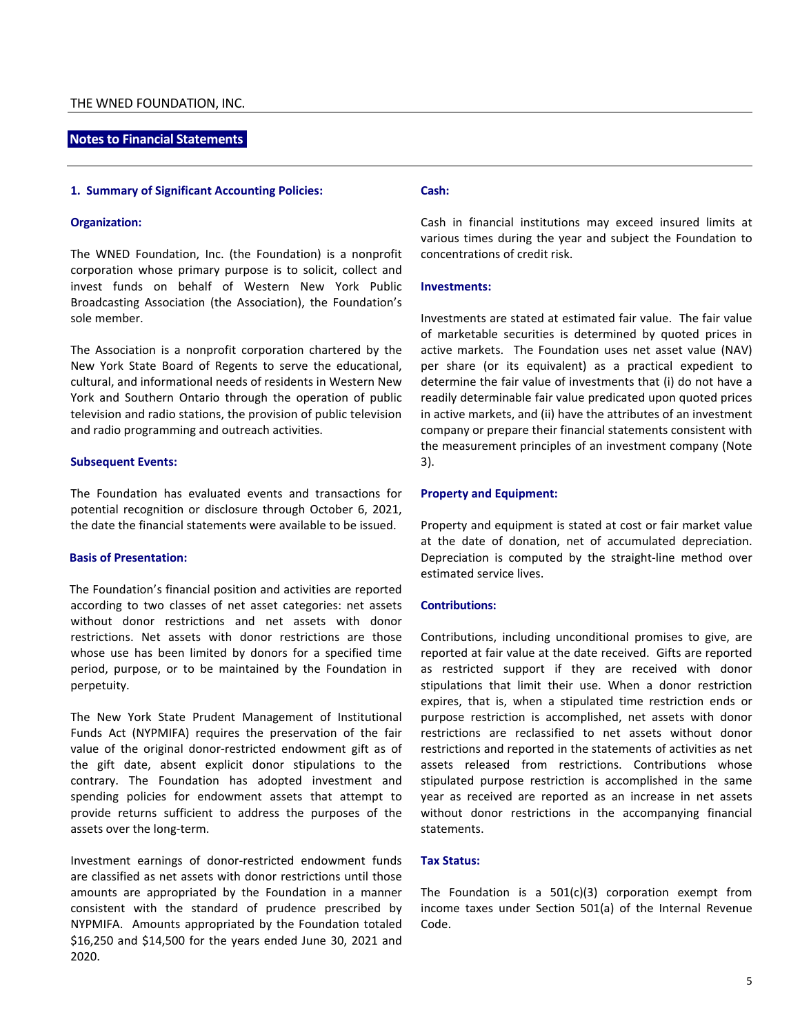#### **Notes to Financial Statements**

#### **1. Summary of Significant Accounting Policies:**

#### **Organization:**

The WNED Foundation, Inc. (the Foundation) is a nonprofit corporation whose primary purpose is to solicit, collect and invest funds on behalf of Western New York Public Broadcasting Association (the Association), the Foundation's sole member.

The Association is a nonprofit corporation chartered by the New York State Board of Regents to serve the educational, cultural, and informational needs of residents in Western New York and Southern Ontario through the operation of public television and radio stations, the provision of public television and radio programming and outreach activities.

#### **Subsequent Events:**

The Foundation has evaluated events and transactions for potential recognition or disclosure through October 6, 2021, the date the financial statements were available to be issued.

#### **Basis of Presentation:**

The Foundation's financial position and activities are reported according to two classes of net asset categories: net assets without donor restrictions and net assets with donor restrictions. Net assets with donor restrictions are those whose use has been limited by donors for a specified time period, purpose, or to be maintained by the Foundation in perpetuity.

The New York State Prudent Management of Institutional Funds Act (NYPMIFA) requires the preservation of the fair value of the original donor-restricted endowment gift as of the gift date, absent explicit donor stipulations to the contrary. The Foundation has adopted investment and spending policies for endowment assets that attempt to provide returns sufficient to address the purposes of the assets over the long-term.

Investment earnings of donor-restricted endowment funds are classified as net assets with donor restrictions until those amounts are appropriated by the Foundation in a manner consistent with the standard of prudence prescribed by NYPMIFA. Amounts appropriated by the Foundation totaled \$16,250 and \$14,500 for the years ended June 30, 2021 and 2020.

#### **Cash:**

Cash in financial institutions may exceed insured limits at various times during the year and subject the Foundation to concentrations of credit risk.

#### **Investments:**

Investments are stated at estimated fair value. The fair value of marketable securities is determined by quoted prices in active markets. The Foundation uses net asset value (NAV) per share (or its equivalent) as a practical expedient to determine the fair value of investments that (i) do not have a readily determinable fair value predicated upon quoted prices in active markets, and (ii) have the attributes of an investment company or prepare their financial statements consistent with the measurement principles of an investment company (Note 3).

#### **Property and Equipment:**

Property and equipment is stated at cost or fair market value at the date of donation, net of accumulated depreciation. Depreciation is computed by the straight-line method over estimated service lives.

#### **Contributions:**

Contributions, including unconditional promises to give, are reported at fair value at the date received. Gifts are reported as restricted support if they are received with donor stipulations that limit their use. When a donor restriction expires, that is, when a stipulated time restriction ends or purpose restriction is accomplished, net assets with donor restrictions are reclassified to net assets without donor restrictions and reported in the statements of activities as net assets released from restrictions. Contributions whose stipulated purpose restriction is accomplished in the same year as received are reported as an increase in net assets without donor restrictions in the accompanying financial statements.

#### **Tax Status:**

The Foundation is a  $501(c)(3)$  corporation exempt from income taxes under Section 501(a) of the Internal Revenue Code.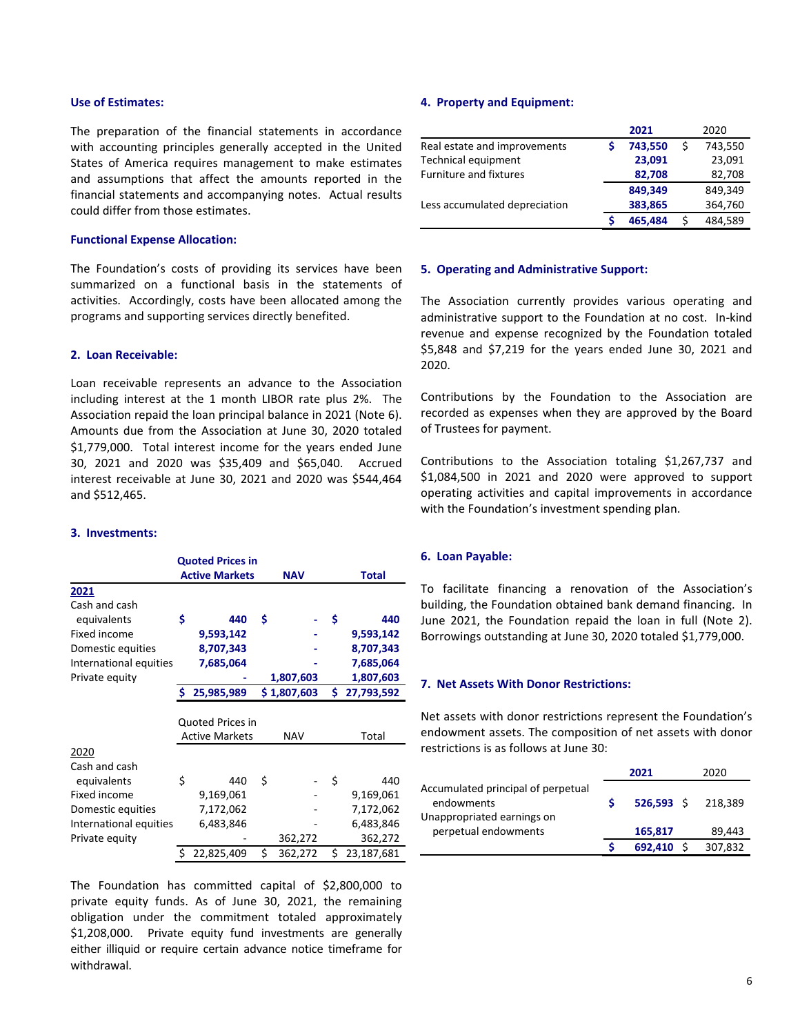#### **Use of Estimates:**

The preparation of the financial statements in accordance with accounting principles generally accepted in the United States of America requires management to make estimates and assumptions that affect the amounts reported in the financial statements and accompanying notes. Actual results could differ from those estimates.

#### **Functional Expense Allocation:**

The Foundation's costs of providing its services have been summarized on a functional basis in the statements of activities. Accordingly, costs have been allocated among the programs and supporting services directly benefited.

#### **2. Loan Receivable:**

Loan receivable represents an advance to the Association including interest at the 1 month LIBOR rate plus 2%. The Association repaid the loan principal balance in 2021 (Note 6). Amounts due from the Association at June 30, 2020 totaled \$1,779,000. Total interest income for the years ended June 30, 2021 and 2020 was \$35,409 and \$65,040. Accrued interest receivable at June 30, 2021 and 2020 was \$544,464 and \$512,465.

#### **3. Investments:**

|                        |                              | <b>Quoted Prices in</b> |    |             |     |            |
|------------------------|------------------------------|-------------------------|----|-------------|-----|------------|
|                        | <b>Active Markets</b><br>NAV |                         |    |             |     | Total      |
| 2021                   |                              |                         |    |             |     |            |
| Cash and cash          |                              |                         |    |             |     |            |
| equivalents            | \$                           | 440                     | Ś  |             | \$  | 440        |
| Fixed income           |                              | 9,593,142               |    |             |     | 9,593,142  |
| Domestic equities      |                              | 8,707,343               |    |             |     | 8,707,343  |
| International equities |                              | 7,685,064               |    |             |     | 7,685,064  |
| Private equity         |                              |                         |    | 1,807,603   |     | 1,807,603  |
|                        | Ś                            | 25,985,989              |    | \$1,807,603 | Ś   | 27,793,592 |
|                        |                              |                         |    |             |     |            |
|                        |                              | <b>Quoted Prices in</b> |    |             |     |            |
|                        |                              | <b>Active Markets</b>   |    | NAV         |     | Total      |
| 2020                   |                              |                         |    |             |     |            |
| Cash and cash          |                              |                         |    |             |     |            |
| equivalents            | \$                           | 440                     | Ś  |             | \$  | 440        |
| Fixed income           |                              | 9,169,061               |    |             |     | 9,169,061  |
| Domestic equities      |                              | 7,172,062               |    |             |     | 7,172,062  |
| International equities |                              | 6,483,846               |    |             |     | 6,483,846  |
| Private equity         |                              |                         |    | 362,272     |     | 362,272    |
|                        | Ś.                           | 22,825,409              | \$ | 362,272     | \$. | 23,187,681 |

The Foundation has committed capital of \$2,800,000 to private equity funds. As of June 30, 2021, the remaining obligation under the commitment totaled approximately \$1,208,000. Private equity fund investments are generally either illiquid or require certain advance notice timeframe for withdrawal.

#### **4. Property and Equipment:**

|                               | 2021    |   | 2020    |
|-------------------------------|---------|---|---------|
| Real estate and improvements  | 743,550 | Ś | 743,550 |
| <b>Technical equipment</b>    | 23,091  |   | 23,091  |
| <b>Furniture and fixtures</b> | 82,708  |   | 82,708  |
|                               | 849.349 |   | 849,349 |
| Less accumulated depreciation | 383,865 |   | 364,760 |
|                               | 465.484 |   | 484,589 |

#### **5. Operating and Administrative Support:**

The Association currently provides various operating and administrative support to the Foundation at no cost. In-kind revenue and expense recognized by the Foundation totaled \$5,848 and \$7,219 for the years ended June 30, 2021 and 2020.

Contributions by the Foundation to the Association are recorded as expenses when they are approved by the Board of Trustees for payment.

Contributions to the Association totaling \$1,267,737 and \$1,084,500 in 2021 and 2020 were approved to support operating activities and capital improvements in accordance with the Foundation's investment spending plan.

#### **6. Loan Payable:**

To facilitate financing a renovation of the Association's building, the Foundation obtained bank demand financing. In June 2021, the Foundation repaid the loan in full (Note 2). Borrowings outstanding at June 30, 2020 totaled \$1,779,000.

#### **7. Net Assets With Donor Restrictions:**

Net assets with donor restrictions represent the Foundation's endowment assets. The composition of net assets with donor restrictions is as follows at June 30:

|                                                    | 2021    | 2020               |
|----------------------------------------------------|---------|--------------------|
| Accumulated principal of perpetual<br>endowments   |         | 526.593 \$ 218.389 |
| Unappropriated earnings on<br>perpetual endowments | 165,817 | 89.443             |
|                                                    | 692.410 | 307,832            |